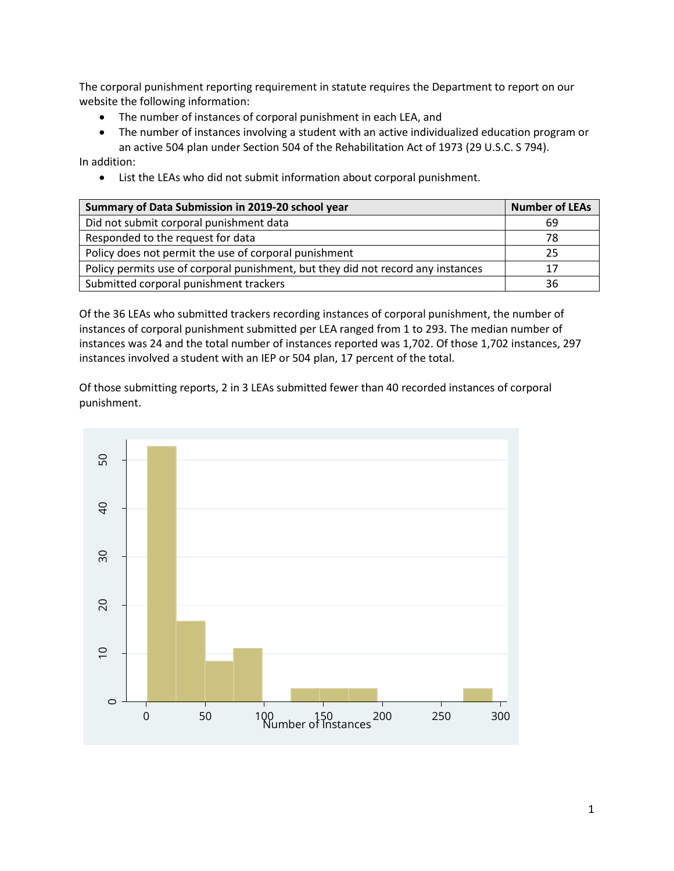The corporal punishment reporting requirement in statute requires the Department to report on our website the following information:

- The number of instances of corporal punishment in each LEA, and
- The number of instances involving a student with an active individualized education program or an active 504 plan under Section 504 of the Rehabilitation Act of 1973 (29 U.S.C. S 794).

In addition:

• List the LEAs who did not submit information about corporal punishment.

| Summary of Data Submission in 2019-20 school year                                | <b>Number of LEAs</b> |
|----------------------------------------------------------------------------------|-----------------------|
| Did not submit corporal punishment data                                          | 69                    |
| Responded to the request for data                                                | 78                    |
| Policy does not permit the use of corporal punishment                            | 25                    |
| Policy permits use of corporal punishment, but they did not record any instances | 17                    |
| Submitted corporal punishment trackers                                           | 36                    |

Of the 36 LEAs who submitted trackers recording instances of corporal punishment, the number of instances of corporal punishment submitted per LEA ranged from 1 to 293. The median number of instances was 24 and the total number of instances reported was 1,702. Of those 1,702 instances, 297 instances involved a student with an IEP or 504 plan, 17 percent of the total.

Of those submitting reports, 2 in 3 LEAs submitted fewer than 40 recorded instances of corporal punishment.

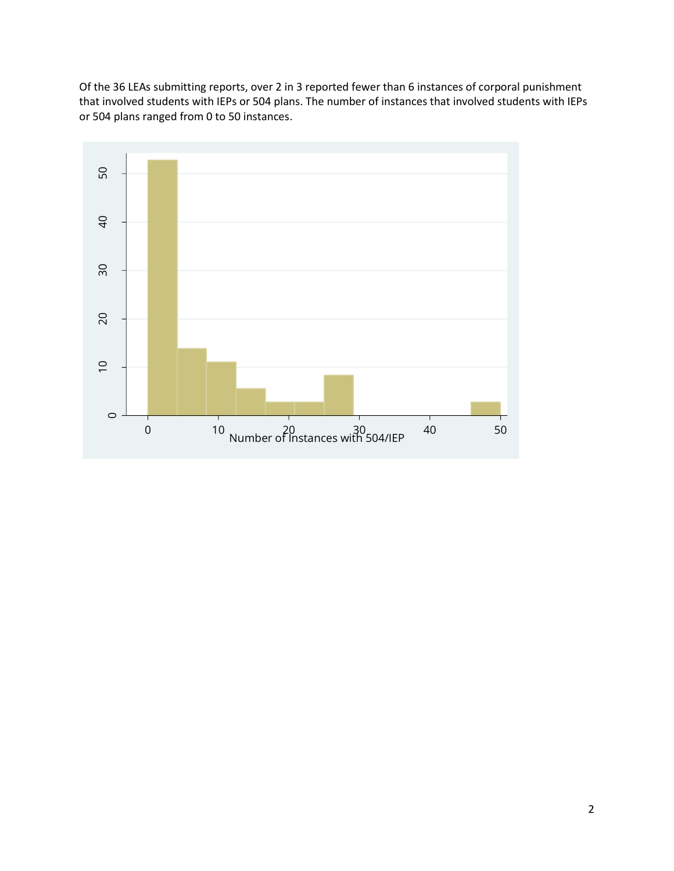Of the 36 LEAs submitting reports, over 2 in 3 reported fewer than 6 instances of corporal punishment that involved students with IEPs or 504 plans. The number of instances that involved students with IEPs or 504 plans ranged from 0 to 50 instances.

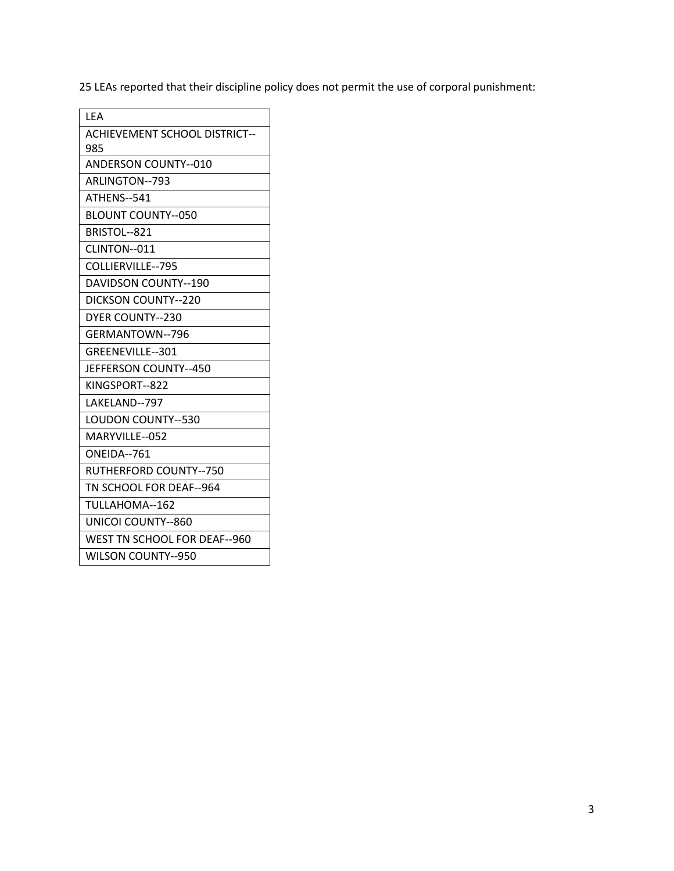25 LEAs reported that their discipline policy does not permit the use of corporal punishment:

| LFA                                  |
|--------------------------------------|
| <b>ACHIEVEMENT SCHOOL DISTRICT--</b> |
| 985                                  |
| ANDERSON COUNTY--010                 |
| ARLINGTON--793                       |
| ATHENS--541                          |
| BLOUNT COUNTY--050                   |
| <b>BRISTOL--821</b>                  |
| CLINTON--011                         |
| COLLIERVILLE--795                    |
| DAVIDSON COUNTY--190                 |
| DICKSON COUNTY--220                  |
| <b>DYER COUNTY--230</b>              |
| GERMANTOWN--796                      |
| GREENEVILLE--301                     |
| <b>JEFFERSON COUNTY--450</b>         |
| KINGSPORT--822                       |
| LAKELAND--797                        |
| <b>LOUDON COUNTY--530</b>            |
| MARYVILLE--052                       |
| ONEIDA--761                          |
| RUTHERFORD COUNTY--750               |
| TN SCHOOL FOR DEAF--964              |
| TULLAHOMA--162                       |
| UNICOI COUNTY--860                   |
| WEST TN SCHOOL FOR DEAF--960         |
| <b>WILSON COUNTY--950</b>            |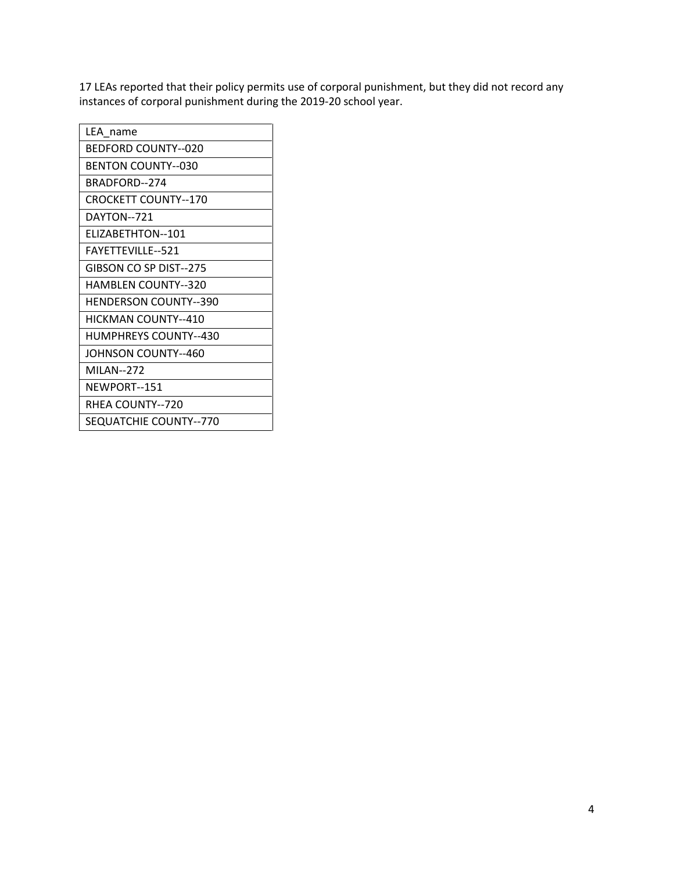17 LEAs reported that their policy permits use of corporal punishment, but they did not record any instances of corporal punishment during the 2019-20 school year.

| LEA name                    |
|-----------------------------|
| BEDFORD COUNTY--020         |
| <b>BENTON COUNTY--030</b>   |
| BRADFORD--274               |
| <b>CROCKETT COUNTY--170</b> |
| DAYTON--721                 |
| FLIZABETHTON--101           |
| <b>FAYETTEVILLE--521</b>    |
| GIBSON CO SP DIST--275      |
| HAMBLEN COUNTY--320         |
| HENDERSON COUNTY--390       |
| HICKMAN COUNTY--410         |
| HUMPHREYS COUNTY--430       |
| JOHNSON COUNTY--460         |
| MII AN--272                 |
| NEWPORT--151                |
| RHEA COUNTY--720            |
| SEQUATCHIE COUNTY--770      |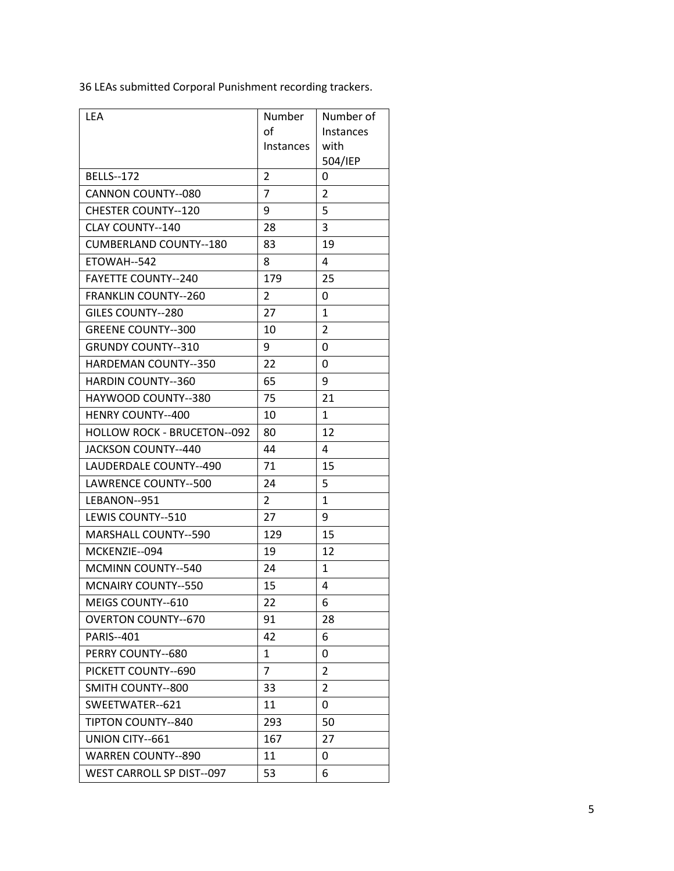36 LEAs submitted Corporal Punishment recording trackers.

| LEA                                | Number    | Number of    |
|------------------------------------|-----------|--------------|
|                                    | οf        | Instances    |
|                                    | Instances | with         |
|                                    |           | 504/IEP      |
| <b>BELLS--172</b>                  | 2         | 0            |
| <b>CANNON COUNTY--080</b>          | 7         | 2            |
| <b>CHESTER COUNTY--120</b>         | 9         | 5            |
| <b>CLAY COUNTY--140</b>            | 28        | 3            |
| <b>CUMBERLAND COUNTY--180</b>      | 83        | 19           |
| ETOWAH--542                        | 8         | 4            |
| <b>FAYETTE COUNTY--240</b>         | 179       | 25           |
| <b>FRANKLIN COUNTY--260</b>        | 2         | 0            |
| GILES COUNTY--280                  | 27        | $\mathbf{1}$ |
| <b>GREENE COUNTY--300</b>          | 10        | 2            |
| <b>GRUNDY COUNTY--310</b>          | 9         | 0            |
| <b>HARDEMAN COUNTY--350</b>        | 22        | 0            |
| <b>HARDIN COUNTY--360</b>          | 65        | 9            |
| HAYWOOD COUNTY--380                | 75        | 21           |
| <b>HENRY COUNTY--400</b>           | 10        | 1            |
| <b>HOLLOW ROCK - BRUCETON--092</b> | 80        | 12           |
| JACKSON COUNTY--440                | 44        | 4            |
| LAUDERDALE COUNTY--490             | 71        | 15           |
| LAWRENCE COUNTY--500               | 24        | 5            |
| LEBANON--951                       | 2         | $\mathbf{1}$ |
| LEWIS COUNTY--510                  | 27        | 9            |
| <b>MARSHALL COUNTY--590</b>        | 129       | 15           |
| MCKENZIE--094                      | 19        | 12           |
| MCMINN COUNTY--540                 | 24        | 1            |
| <b>MCNAIRY COUNTY--550</b>         | 15        | 4            |
| MEIGS COUNTY--610                  | 22        | 6            |
| <b>OVERTON COUNTY--670</b>         | 91        | 28           |
| <b>PARIS--401</b>                  | 42        | 6            |
| PERRY COUNTY--680                  | 1         | 0            |
| PICKETT COUNTY--690                | 7         | 2            |
| <b>SMITH COUNTY--800</b>           | 33        | 2            |
| SWEETWATER--621                    | 11        | 0            |
| TIPTON COUNTY--840                 | 293       | 50           |
| UNION CITY--661                    | 167       | 27           |
| <b>WARREN COUNTY--890</b>          | 11        | 0            |
| WEST CARROLL SP DIST--097          | 53        | 6            |
|                                    |           |              |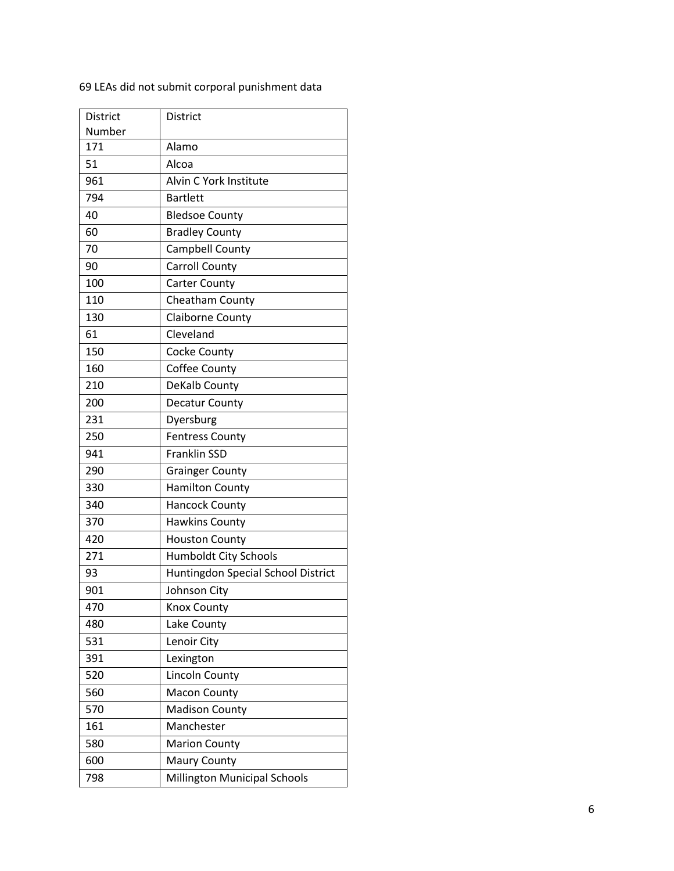| <b>District</b> | District                            |
|-----------------|-------------------------------------|
| Number          |                                     |
| 171             | Alamo                               |
| 51              | Alcoa                               |
| 961             | Alvin C York Institute              |
| 794             | <b>Bartlett</b>                     |
| 40              | <b>Bledsoe County</b>               |
| 60              | <b>Bradley County</b>               |
| 70              | Campbell County                     |
| 90              | <b>Carroll County</b>               |
| 100             | <b>Carter County</b>                |
| 110             | Cheatham County                     |
| 130             | <b>Claiborne County</b>             |
| 61              | Cleveland                           |
| 150             | Cocke County                        |
| 160             | <b>Coffee County</b>                |
| 210             | DeKalb County                       |
| 200             | Decatur County                      |
| 231             | Dyersburg                           |
| 250             | <b>Fentress County</b>              |
| 941             | Franklin SSD                        |
| 290             | <b>Grainger County</b>              |
| 330             | <b>Hamilton County</b>              |
| 340             | <b>Hancock County</b>               |
| 370             | <b>Hawkins County</b>               |
| 420             | <b>Houston County</b>               |
| 271             | <b>Humboldt City Schools</b>        |
| 93              | Huntingdon Special School District  |
| 901             | Johnson City                        |
| 470             | Knox County                         |
| 480             | Lake County                         |
| 531             | Lenoir City                         |
| 391             | Lexington                           |
| 520             | Lincoln County                      |
| 560             | <b>Macon County</b>                 |
| 570             | <b>Madison County</b>               |
| 161             | Manchester                          |
| 580             | <b>Marion County</b>                |
| 600             | <b>Maury County</b>                 |
| 798             | <b>Millington Municipal Schools</b> |

LEAs did not submit corporal punishment data